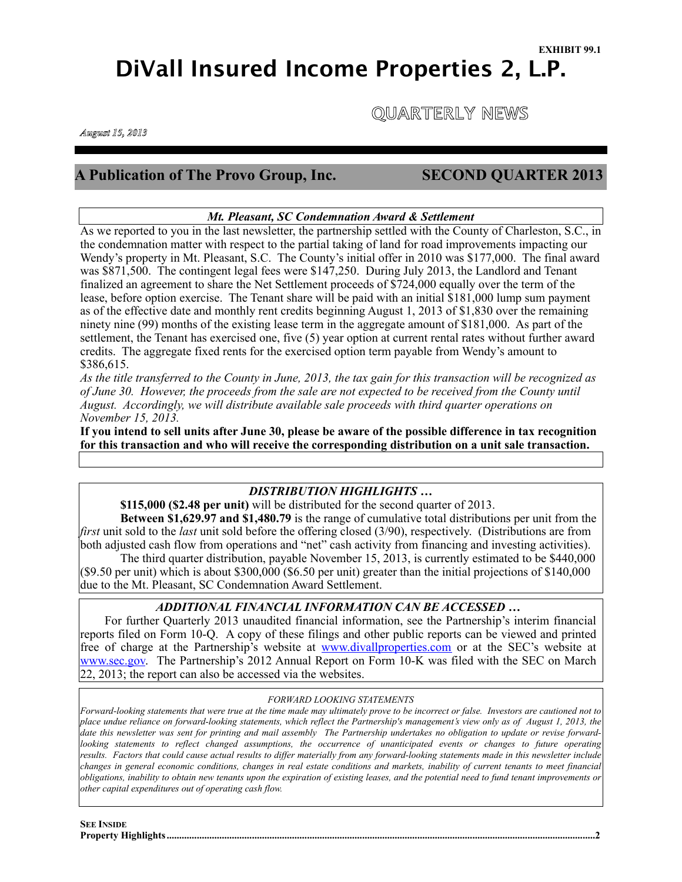# **DiVall Insured Income Properties 2, L.P.**

 **QUARTERLY NEWS** 

*August 15, 2013*

! !

# **A Publication of The Provo Group, Inc. SECOND QUARTER 2013**

# *Mt. Pleasant, SC Condemnation Award & Settlement*

As we reported to you in the last newsletter, the partnership settled with the County of Charleston, S.C., in the condemnation matter with respect to the partial taking of land for road improvements impacting our Wendy's property in Mt. Pleasant, S.C. The County's initial offer in 2010 was \$177,000. The final award was \$871,500. The contingent legal fees were \$147,250. During July 2013, the Landlord and Tenant finalized an agreement to share the Net Settlement proceeds of \$724,000 equally over the term of the lease, before option exercise. The Tenant share will be paid with an initial \$181,000 lump sum payment as of the effective date and monthly rent credits beginning August 1, 2013 of \$1,830 over the remaining ninety nine (99) months of the existing lease term in the aggregate amount of \$181,000. As part of the settlement, the Tenant has exercised one, five (5) year option at current rental rates without further award credits. The aggregate fixed rents for the exercised option term payable from Wendy's amount to \$386,615.

*As the title transferred to the County in June, 2013, the tax gain for this transaction will be recognized as of June 30. However, the proceeds from the sale are not expected to be received from the County until August. Accordingly, we will distribute available sale proceeds with third quarter operations on November 15, 2013.*

**If you intend to sell units after June 30, please be aware of the possible difference in tax recognition for this transaction and who will receive the corresponding distribution on a unit sale transaction.**

# *DISTRIBUTION HIGHLIGHTS …*

**\$115,000 (\$2.48 per unit)** will be distributed for the second quarter of 2013.

**Between \$1,629.97 and \$1,480.79** is the range of cumulative total distributions per unit from the *first* unit sold to the *last* unit sold before the offering closed (3/90), respectively. (Distributions are from both adjusted cash flow from operations and "net" cash activity from financing and investing activities).

The third quarter distribution, payable November 15, 2013, is currently estimated to be \$440,000  $(\$9.50$  per unit) which is about  $\$300,000$   $(\$6.50$  per unit) greater than the initial projections of  $\$140,000$ due to the Mt. Pleasant, SC Condemnation Award Settlement.

# *ADDITIONAL FINANCIAL INFORMATION CAN BE ACCESSED …*

 For further Quarterly 2013 unaudited financial information, see the Partnership's interim financial reports filed on Form 10-Q. A copy of these filings and other public reports can be viewed and printed free of charge at the Partnership's website at **[www.divallproperties.com](http://www.divallproperties.com)** or at the SEC's website at [www.sec.gov](http://www.sec.gov). The Partnership's 2012 Annual Report on Form 10-K was filed with the SEC on March 22, 2013; the report can also be accessed via the websites.

# *FORWARD LOOKING STATEMENTS*

*Forward-looking statements that were true at the time made may ultimately prove to be incorrect or false. Investors are cautioned not to place undue reliance on forward-looking statements, which reflect the Partnership's management's view only as of August 1, 2013, the date this newsletter was sent for printing and mail assembly The Partnership undertakes no obligation to update or revise forwardlooking statements to reflect changed assumptions, the occurrence of unanticipated events or changes to future operating* results. Factors that could cause actual results to differ materially from any forward-looking statements made in this newsletter include *changes in general economic conditions, changes in real estate conditions and markets, inability of current tenants to meet financial obligations, inability to obtain new tenants upon the expiration of existing leases, and the potential need to fund tenant improvements or other capital expenditures out of operating cash flow.*

**SEE INSIDE Property Highlights 2 ...........................................................................................................................................................................**